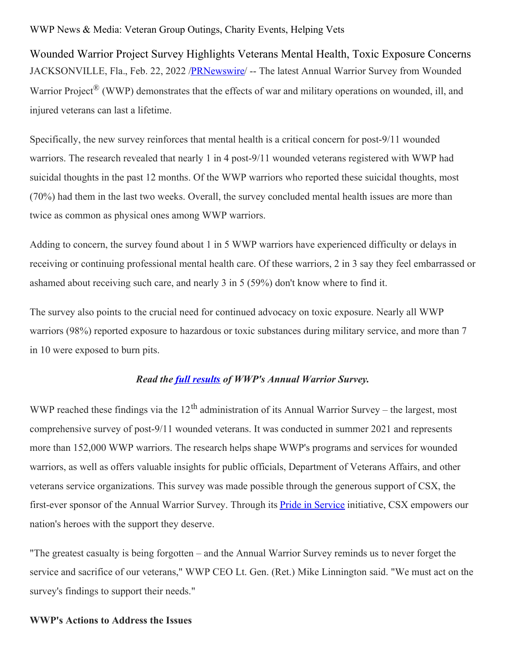## WWP News & Media: Veteran Group Outings, Charity Events, Helping Vets

Wounded Warrior Project Survey Highlights Veterans Mental Health, Toxic Exposure Concerns JACKSONVILLE, Fla., Feb. 22, 2022 /**PRNewswire/ --** The latest Annual Warrior Survey from Wounded Warrior Project<sup>®</sup> (WWP) demonstrates that the effects of war and military operations on wounded, ill, and injured veterans can last a lifetime.

Specifically, the new survey reinforces that mental health is a critical concern for post-9/11 wounded warriors. The research revealed that nearly 1 in 4 post-9/11 wounded veterans registered with WWP had suicidal thoughts in the past 12 months. Of the WWP warriors who reported these suicidal thoughts, most (70%) had them in the last two weeks. Overall, the survey concluded mental health issues are more than twice as common as physical ones among WWP warriors.

Adding to concern, the survey found about 1 in 5 WWP warriors have experienced difficulty or delays in receiving or continuing professional mental health care. Of these warriors, 2 in 3 say they feel embarrassed or ashamed about receiving such care, and nearly 3 in 5 (59%) don't know where to find it.

The survey also points to the crucial need for continued advocacy on toxic exposure. Nearly all WWP warriors (98%) reported exposure to hazardous or toxic substances during military service, and more than 7 in 10 were exposed to burn pits.

#### *Read the full [results](https://c212.net/c/link/?t=0&l=en&o=3449152-1&h=2617854539&u=https%3A%2F%2Fwww.woundedwarriorproject.org%2Fmission%2Fannual-warrior-survey%3Futm_source%3Daws2021_media%26utm_medium%3Dreferral%26utm_campaign%3DAWS2021&a=full+results) of WWP's Annual Warrior Survey.*

WWP reached these findings via the  $12<sup>th</sup>$  administration of its Annual Warrior Survey – the largest, most comprehensive survey of post-9/11 wounded veterans. It was conducted in summer 2021 and represents more than 152,000 WWP warriors. The research helps shape WWP's programs and services for wounded warriors, as well as offers valuable insights for public officials, Department of Veterans Affairs, and other veterans service organizations. This survey was made possible through the generous support of CSX, the first-ever sponsor of the Annual Warrior Survey. Through its **Pride in [Service](https://c212.net/c/link/?t=0&l=en&o=3449152-1&h=3052737215&u=https%3A%2F%2Fwww.csx.com%2Findex.cfm%2Fcommunity-investment%2Fpride-in-service%2F&a=Pride+in+Service)** initiative, CSX empowers our nation's heroes with the support they deserve.

"The greatest casualty is being forgotten – and the Annual Warrior Survey reminds us to never forget the service and sacrifice of our veterans," WWP CEO Lt. Gen. (Ret.) Mike Linnington said. "We must act on the survey's findings to support their needs."

## **WWP's Actions to Address the Issues**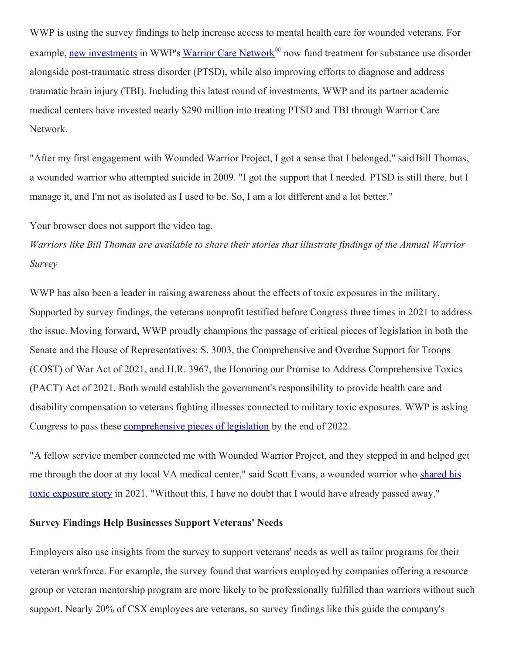WWP is using the survey findings to help increase access to mental health care for wounded veterans. For example, new [investments](https://c212.net/c/link/?t=0&l=en&o=3449152-1&h=950141557&u=https%3A%2F%2Fnewsroom.woundedwarriorproject.org%2F2021-11-02-Wounded-Warrior-Project-Expands-Mental-Health-Treatment-to-Include-Substance-Use-Disorder&a=new+investments) in WWP's Warrior Care [Network](https://c212.net/c/link/?t=0&l=en&o=3449152-1&h=2537678479&u=https%3A%2F%2Fwww.woundedwarriorproject.org%2Fprograms%2Fwarrior-care-network&a=Warrior+Care+Network)<sup>®</sup> now fund treatment for substance use disorder alongside post-traumatic stress disorder (PTSD), while also improving efforts to diagnose and address traumatic brain injury (TBI). Including this latest round of investments, WWP and its partner academic medical centers have invested nearly \$290 million into treating PTSD and TBI through Warrior Care Network.

"After my first engagement with Wounded Warrior Project, I got a sense that I belonged," saidBill Thomas, a wounded warrior who attempted suicide in 2009. "I got the support that I needed. PTSD is still there, but I manage it, and I'm not as isolated as I used to be. So, I am a lot different and a lot better."

Your browser does not support the video tag.

Warriors like Bill Thomas are available to share their stories that illustrate findings of the Annual Warrior *Survey*

WWP has also been a leader in raising awareness about the effects of toxic exposures in the military. Supported by survey findings, the veterans nonprofit testified before Congress three times in 2021 to address the issue. Moving forward, WWP proudly champions the passage of critical pieces of legislation in both the Senate and the House of Representatives: S. 3003, the Comprehensive and Overdue Support for Troops (COST) of War Act of 2021, and H.R. 3967, the Honoring our Promise to Address Comprehensive Toxics (PACT) Act of 2021. Both would establish the government's responsibility to provide health care and disability compensation to veterans fighting illnesses connected to military toxic exposures. WWP is asking Congress to pass these [comprehensive](https://c212.net/c/link/?t=0&l=en&o=3449152-1&h=403548384&u=https%3A%2F%2Fwww.woundedwarriorproject.org%2Fprograms%2Fgovernment-affairs%2Fadvocacy-opportunity%3Fvvsrc%3D%252fcampaigns%252f84646%252frespond&a=comprehensive+pieces+of+legislation) pieces of legislation by the end of 2022.

"A fellow service member connected me with Wounded Warrior Project, and they stepped in and helped get me through the door at my local VA medical center," said Scott Evans, a wounded warrior who shared his toxic exposure story in 2021. ["Without](https://c212.net/c/link/?t=0&l=en&o=3449152-1&h=287763886&u=https%3A%2F%2Fnewsroom.woundedwarriorproject.org%2FLiving-with-Toxic-Exposure&a=shared+his+toxic+exposure+story) this, I have no doubt that I would have already passed away."

## **Survey Findings Help Businesses Support Veterans' Needs**

Employers also use insights from the survey to support veterans' needs as well as tailor programs for their veteran workforce. For example, the survey found that warriors employed by companies offering a resource group or veteran mentorship program are more likely to be professionally fulfilled than warriors without such support. Nearly 20% of CSX employees are veterans, so survey findings like this guide the company's